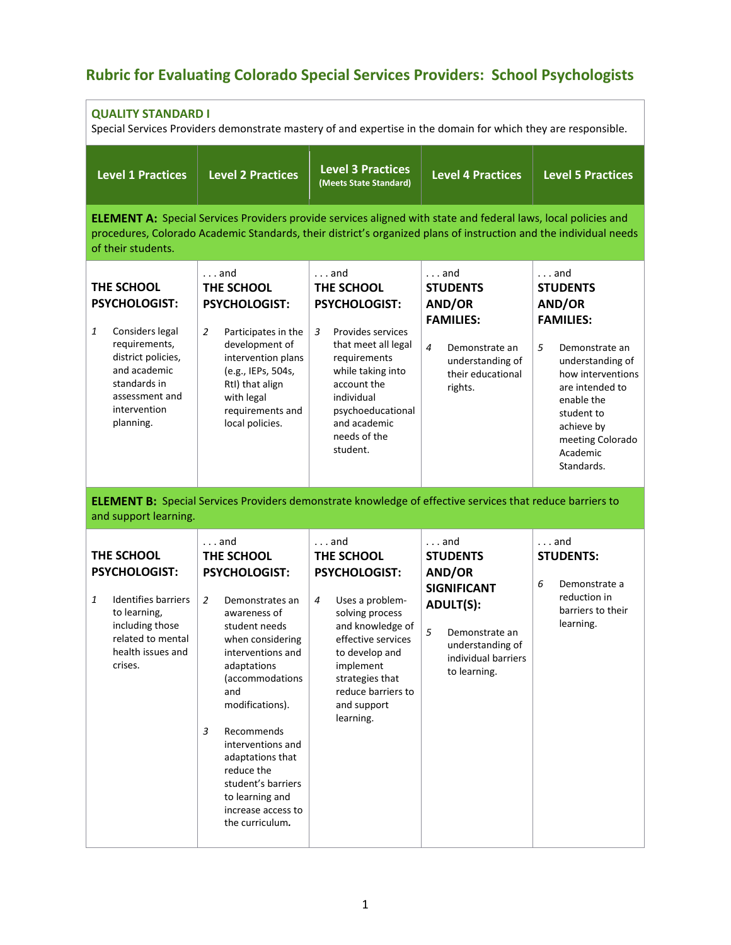## **Rubric for Evaluating Colorado Special Services Providers: School Psychologists**

| <b>QUALITY STANDARD I</b><br>Special Services Providers demonstrate mastery of and expertise in the domain for which they are responsible.                                       |                                                                                                                                                                                                                                                                                                                                                                                           |                                                                                                                                                                                                                                                   |                                                                                                                                                                                    |                                                                                                                                                                                                                                          |  |
|----------------------------------------------------------------------------------------------------------------------------------------------------------------------------------|-------------------------------------------------------------------------------------------------------------------------------------------------------------------------------------------------------------------------------------------------------------------------------------------------------------------------------------------------------------------------------------------|---------------------------------------------------------------------------------------------------------------------------------------------------------------------------------------------------------------------------------------------------|------------------------------------------------------------------------------------------------------------------------------------------------------------------------------------|------------------------------------------------------------------------------------------------------------------------------------------------------------------------------------------------------------------------------------------|--|
| <b>Level 1 Practices</b>                                                                                                                                                         | <b>Level 2 Practices</b>                                                                                                                                                                                                                                                                                                                                                                  | <b>Level 3 Practices</b><br>(Meets State Standard)                                                                                                                                                                                                | <b>Level 4 Practices</b>                                                                                                                                                           | <b>Level 5 Practices</b>                                                                                                                                                                                                                 |  |
| of their students.                                                                                                                                                               | <b>ELEMENT A:</b> Special Services Providers provide services aligned with state and federal laws, local policies and<br>procedures, Colorado Academic Standards, their district's organized plans of instruction and the individual needs                                                                                                                                                |                                                                                                                                                                                                                                                   |                                                                                                                                                                                    |                                                                                                                                                                                                                                          |  |
| THE SCHOOL<br><b>PSYCHOLOGIST:</b><br>1<br>Considers legal<br>requirements,<br>district policies,<br>and academic<br>standards in<br>assessment and<br>intervention<br>planning. | $\ldots$ and<br>THE SCHOOL<br><b>PSYCHOLOGIST:</b><br>$\overline{2}$<br>Participates in the<br>development of<br>intervention plans<br>(e.g., IEPs, 504s,<br>Rtl) that align<br>with legal<br>requirements and<br>local policies.                                                                                                                                                         | $\ldots$ and<br>THE SCHOOL<br><b>PSYCHOLOGIST:</b><br>$\mathbf{3}$<br>Provides services<br>that meet all legal<br>requirements<br>while taking into<br>account the<br>individual<br>psychoeducational<br>and academic<br>needs of the<br>student. | $\ldots$ and<br><b>STUDENTS</b><br>AND/OR<br><b>FAMILIES:</b><br>4<br>Demonstrate an<br>understanding of<br>their educational<br>rights.                                           | $\ldots$ and<br><b>STUDENTS</b><br>AND/OR<br><b>FAMILIES:</b><br>5<br>Demonstrate an<br>understanding of<br>how interventions<br>are intended to<br>enable the<br>student to<br>achieve by<br>meeting Colorado<br>Academic<br>Standards. |  |
| and support learning.                                                                                                                                                            |                                                                                                                                                                                                                                                                                                                                                                                           | <b>ELEMENT B:</b> Special Services Providers demonstrate knowledge of effective services that reduce barriers to                                                                                                                                  |                                                                                                                                                                                    |                                                                                                                                                                                                                                          |  |
| THE SCHOOL<br><b>PSYCHOLOGIST:</b><br>$\mathbf{1}$<br><b>Identifies barriers</b><br>to learning,<br>including those<br>related to mental<br>health issues and<br>crises.         | $\ldots$ and<br>THE SCHOOL<br><b>PSYCHOLOGIST:</b><br>$\overline{2}$<br>Demonstrates an<br>awareness of<br>student needs<br>when considering<br>interventions and<br>adaptations<br>(accommodations<br>and<br>modifications).<br>3<br>Recommends<br>interventions and<br>adaptations that<br>reduce the<br>student's barriers<br>to learning and<br>increase access to<br>the curriculum. | $\ldots$ and<br>THE SCHOOL<br>PSYCHOLOGIST:<br>$\overline{4}$<br>Uses a problem-<br>solving process<br>and knowledge of<br>effective services<br>to develop and<br>implement<br>strategies that<br>reduce barriers to<br>and support<br>learning. | $\ldots$ and<br><b>STUDENTS</b><br>AND/OR<br><b>SIGNIFICANT</b><br><b>ADULT(S):</b><br>5 <sup>1</sup><br>Demonstrate an<br>understanding of<br>individual barriers<br>to learning. | $\ldots$ and<br><b>STUDENTS:</b><br>6<br>Demonstrate a<br>reduction in<br>barriers to their<br>learning.                                                                                                                                 |  |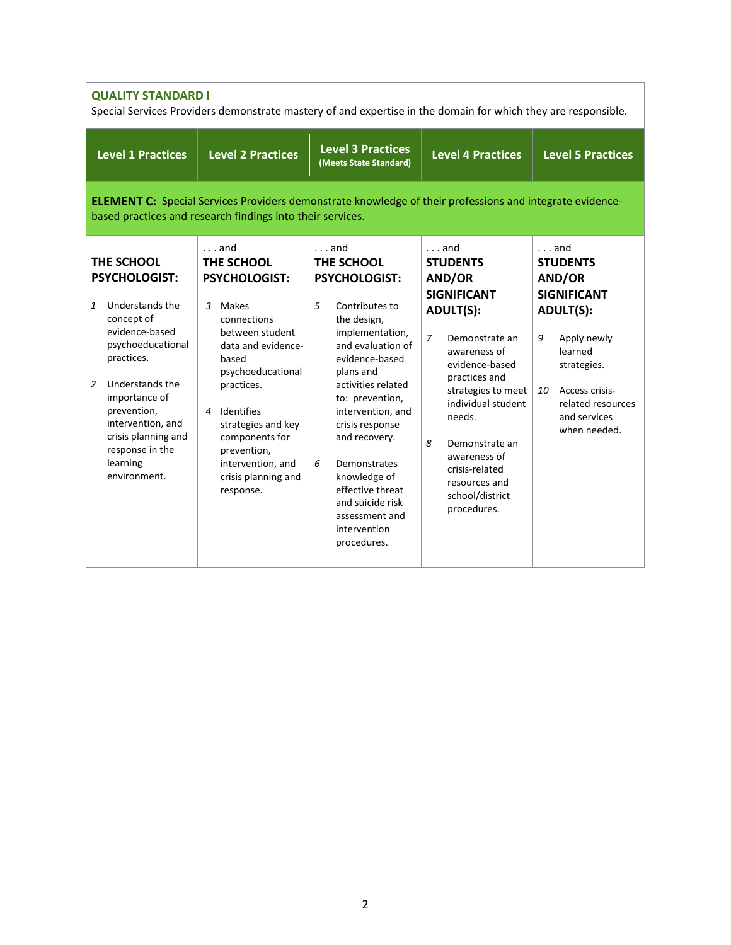| <b>QUALITY STANDARD I</b><br>Special Services Providers demonstrate mastery of and expertise in the domain for which they are responsible.                                                                                                                                                               |                                                                                                                                                                                                                                                                                                                   |                                                                                                                                                                                                                                                                                                                                                                                                 |                                                                                                                                                                                                                                                                                                                                              |                                                                                                                                                                                                                |  |
|----------------------------------------------------------------------------------------------------------------------------------------------------------------------------------------------------------------------------------------------------------------------------------------------------------|-------------------------------------------------------------------------------------------------------------------------------------------------------------------------------------------------------------------------------------------------------------------------------------------------------------------|-------------------------------------------------------------------------------------------------------------------------------------------------------------------------------------------------------------------------------------------------------------------------------------------------------------------------------------------------------------------------------------------------|----------------------------------------------------------------------------------------------------------------------------------------------------------------------------------------------------------------------------------------------------------------------------------------------------------------------------------------------|----------------------------------------------------------------------------------------------------------------------------------------------------------------------------------------------------------------|--|
| <b>Level 1 Practices</b>                                                                                                                                                                                                                                                                                 | <b>Level 2 Practices</b>                                                                                                                                                                                                                                                                                          | <b>Level 3 Practices</b><br>(Meets State Standard)                                                                                                                                                                                                                                                                                                                                              | <b>Level 4 Practices</b>                                                                                                                                                                                                                                                                                                                     | <b>Level 5 Practices</b>                                                                                                                                                                                       |  |
| <b>ELEMENT C:</b> Special Services Providers demonstrate knowledge of their professions and integrate evidence-<br>based practices and research findings into their services.                                                                                                                            |                                                                                                                                                                                                                                                                                                                   |                                                                                                                                                                                                                                                                                                                                                                                                 |                                                                                                                                                                                                                                                                                                                                              |                                                                                                                                                                                                                |  |
| THE SCHOOL<br><b>PSYCHOLOGIST:</b><br>$\mathbf{1}$<br>Understands the<br>concept of<br>evidence-based<br>psychoeducational<br>practices.<br>$\overline{2}$<br>Understands the<br>importance of<br>prevention,<br>intervention, and<br>crisis planning and<br>response in the<br>learning<br>environment. | $\ldots$ and<br>THE SCHOOL<br><b>PSYCHOLOGIST:</b><br>3 Makes<br>connections<br>between student<br>data and evidence-<br>based<br>psychoeducational<br>practices.<br>Identifies<br>$\overline{4}$<br>strategies and key<br>components for<br>prevention,<br>intervention, and<br>crisis planning and<br>response. | $\ldots$ and<br>THE SCHOOL<br><b>PSYCHOLOGIST:</b><br>5<br>Contributes to<br>the design,<br>implementation,<br>and evaluation of<br>evidence-based<br>plans and<br>activities related<br>to: prevention,<br>intervention, and<br>crisis response<br>and recovery.<br>6<br>Demonstrates<br>knowledge of<br>effective threat<br>and suicide risk<br>assessment and<br>intervention<br>procedures. | $\ldots$ and<br><b>STUDENTS</b><br>AND/OR<br><b>SIGNIFICANT</b><br><b>ADULT(S):</b><br>$\overline{z}$<br>Demonstrate an<br>awareness of<br>evidence-based<br>practices and<br>strategies to meet<br>individual student<br>needs.<br>8<br>Demonstrate an<br>awareness of<br>crisis-related<br>resources and<br>school/district<br>procedures. | $\ldots$ and<br><b>STUDENTS</b><br>AND/OR<br><b>SIGNIFICANT</b><br><b>ADULT(S):</b><br>9<br>Apply newly<br>learned<br>strategies.<br>Access crisis-<br>10<br>related resources<br>and services<br>when needed. |  |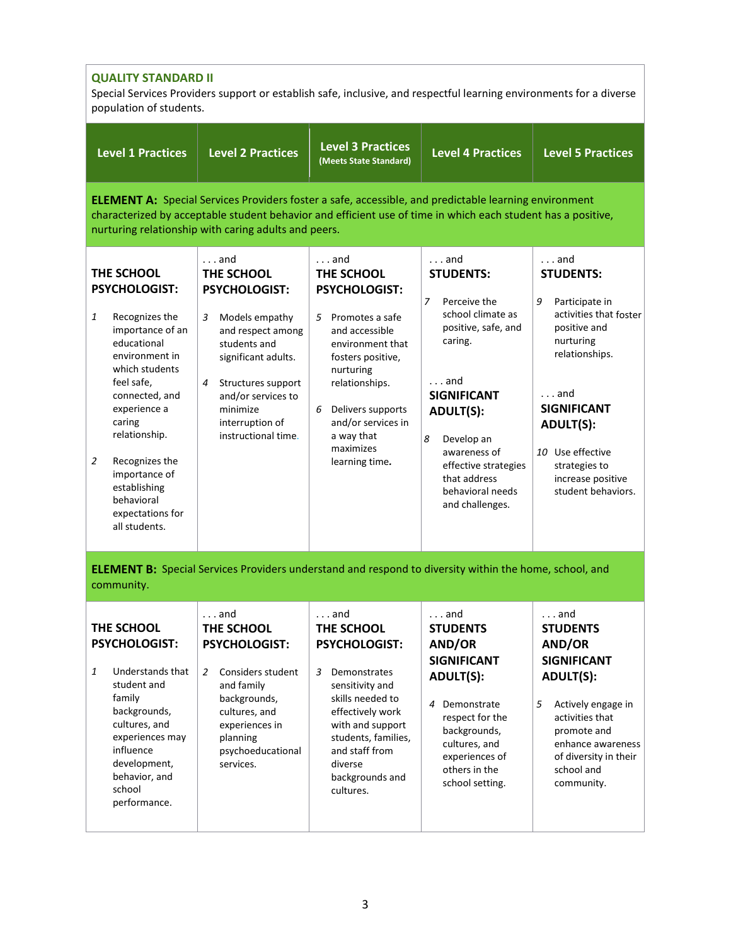| <b>QUALITY STANDARD II</b><br>Special Services Providers support or establish safe, inclusive, and respectful learning environments for a diverse<br>population of students.                                                                                                     |                                                                                                                                                                                                                                                                                      |                                                                                                                                                                                                                                            |                                                                                                                                                                                                                        |                                                                                                                                                                                                                            |
|----------------------------------------------------------------------------------------------------------------------------------------------------------------------------------------------------------------------------------------------------------------------------------|--------------------------------------------------------------------------------------------------------------------------------------------------------------------------------------------------------------------------------------------------------------------------------------|--------------------------------------------------------------------------------------------------------------------------------------------------------------------------------------------------------------------------------------------|------------------------------------------------------------------------------------------------------------------------------------------------------------------------------------------------------------------------|----------------------------------------------------------------------------------------------------------------------------------------------------------------------------------------------------------------------------|
| <b>Level 1 Practices</b>                                                                                                                                                                                                                                                         | <b>Level 2 Practices</b>                                                                                                                                                                                                                                                             | <b>Level 3 Practices</b><br>(Meets State Standard)                                                                                                                                                                                         | <b>Level 4 Practices</b>                                                                                                                                                                                               | <b>Level 5 Practices</b>                                                                                                                                                                                                   |
|                                                                                                                                                                                                                                                                                  | <b>ELEMENT A:</b> Special Services Providers foster a safe, accessible, and predictable learning environment<br>characterized by acceptable student behavior and efficient use of time in which each student has a positive,<br>nurturing relationship with caring adults and peers. |                                                                                                                                                                                                                                            |                                                                                                                                                                                                                        |                                                                                                                                                                                                                            |
| THE SCHOOL<br><b>PSYCHOLOGIST:</b>                                                                                                                                                                                                                                               | $\ldots$ and<br>THE SCHOOL<br><b>PSYCHOLOGIST:</b>                                                                                                                                                                                                                                   | $\ldots$ and<br>THE SCHOOL<br><b>PSYCHOLOGIST:</b>                                                                                                                                                                                         | $\ldots$ and<br><b>STUDENTS:</b><br>$\overline{7}$<br>Perceive the                                                                                                                                                     | and<br><b>STUDENTS:</b><br>Participate in<br>9                                                                                                                                                                             |
| 1<br>Recognizes the<br>importance of an<br>educational<br>environment in<br>which students<br>feel safe,<br>connected, and<br>experience a<br>caring<br>relationship.<br>2<br>Recognizes the<br>importance of<br>establishing<br>behavioral<br>expectations for<br>all students. | 3<br>Models empathy<br>and respect among<br>students and<br>significant adults.<br>Structures support<br>4<br>and/or services to<br>minimize<br>interruption of<br>instructional time.                                                                                               | 5 Promotes a safe<br>and accessible<br>environment that<br>fosters positive,<br>nurturing<br>relationships.<br>Delivers supports<br>6<br>and/or services in<br>a way that<br>maximizes<br>learning time.                                   | school climate as<br>positive, safe, and<br>caring.<br>and<br><b>SIGNIFICANT</b><br><b>ADULT(S):</b><br>8<br>Develop an<br>awareness of<br>effective strategies<br>that address<br>behavioral needs<br>and challenges. | activities that foster<br>positive and<br>nurturing<br>relationships.<br>$\ldots$ and<br><b>SIGNIFICANT</b><br><b>ADULT(S):</b><br>10 Use effective<br>strategies to<br>increase positive<br>student behaviors.            |
| community.                                                                                                                                                                                                                                                                       | <b>ELEMENT B:</b> Special Services Providers understand and respond to diversity within the home, school, and                                                                                                                                                                        |                                                                                                                                                                                                                                            |                                                                                                                                                                                                                        |                                                                                                                                                                                                                            |
| THE SCHOOL<br><b>PSYCHOLOGIST:</b><br>Understands that<br>1<br>student and<br>family<br>backgrounds,<br>cultures, and<br>experiences may<br>influence<br>development,<br>behavior, and<br>school<br>performance.                                                                 | $\ldots$ and<br>THE SCHOOL<br><b>PSYCHOLOGIST:</b><br>Considers student<br>$\overline{2}$<br>and family<br>backgrounds,<br>cultures, and<br>experiences in<br>planning<br>psychoeducational<br>services.                                                                             | $\ldots$ and<br>THE SCHOOL<br><b>PSYCHOLOGIST:</b><br>3<br>Demonstrates<br>sensitivity and<br>skills needed to<br>effectively work<br>with and support<br>students, families,<br>and staff from<br>diverse<br>backgrounds and<br>cultures. | $\ldots$ and<br><b>STUDENTS</b><br>AND/OR<br><b>SIGNIFICANT</b><br><b>ADULT(S):</b><br>4 Demonstrate<br>respect for the<br>backgrounds,<br>cultures, and<br>experiences of<br>others in the<br>school setting.         | $\ldots$ and<br><b>STUDENTS</b><br>AND/OR<br><b>SIGNIFICANT</b><br><b>ADULT(S):</b><br>5<br>Actively engage in<br>activities that<br>promote and<br>enhance awareness<br>of diversity in their<br>school and<br>community. |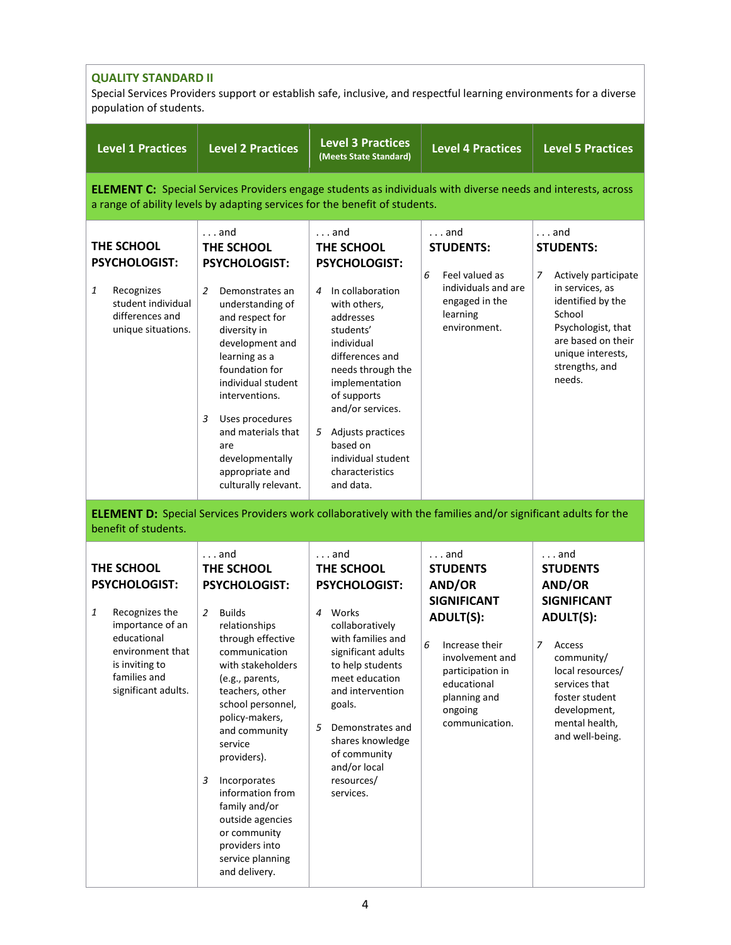| <b>QUALITY STANDARD II</b><br>Special Services Providers support or establish safe, inclusive, and respectful learning environments for a diverse<br>population of students. |                                                                                                                                                                                                                                                                                                                                                                                                                                                |                                                                                                                                                                                                                                                                                                                                 |                                                                                                                                                                                                               |                                                                                                                                                                                                                              |  |  |
|------------------------------------------------------------------------------------------------------------------------------------------------------------------------------|------------------------------------------------------------------------------------------------------------------------------------------------------------------------------------------------------------------------------------------------------------------------------------------------------------------------------------------------------------------------------------------------------------------------------------------------|---------------------------------------------------------------------------------------------------------------------------------------------------------------------------------------------------------------------------------------------------------------------------------------------------------------------------------|---------------------------------------------------------------------------------------------------------------------------------------------------------------------------------------------------------------|------------------------------------------------------------------------------------------------------------------------------------------------------------------------------------------------------------------------------|--|--|
| <b>Level 1 Practices</b>                                                                                                                                                     | <b>Level 2 Practices</b>                                                                                                                                                                                                                                                                                                                                                                                                                       | <b>Level 3 Practices</b><br>(Meets State Standard)                                                                                                                                                                                                                                                                              | <b>Level 4 Practices</b>                                                                                                                                                                                      | <b>Level 5 Practices</b>                                                                                                                                                                                                     |  |  |
|                                                                                                                                                                              | <b>ELEMENT C:</b> Special Services Providers engage students as individuals with diverse needs and interests, across<br>a range of ability levels by adapting services for the benefit of students.                                                                                                                                                                                                                                            |                                                                                                                                                                                                                                                                                                                                 |                                                                                                                                                                                                               |                                                                                                                                                                                                                              |  |  |
| THE SCHOOL<br><b>PSYCHOLOGIST:</b><br>Recognizes<br>1<br>student individual<br>differences and<br>unique situations.                                                         | $\ldots$ and<br>THE SCHOOL<br><b>PSYCHOLOGIST:</b><br>2<br>Demonstrates an<br>understanding of<br>and respect for<br>diversity in<br>development and<br>learning as a<br>foundation for<br>individual student<br>interventions.<br>3<br>Uses procedures<br>and materials that<br>are<br>developmentally<br>appropriate and<br>culturally relevant.                                                                                             | $\ldots$ and<br>THE SCHOOL<br>PSYCHOLOGIST:<br>In collaboration<br>$\overline{4}$<br>with others,<br>addresses<br>students'<br>individual<br>differences and<br>needs through the<br>implementation<br>of supports<br>and/or services.<br>5 Adjusts practices<br>based on<br>individual student<br>characteristics<br>and data. | $\ldots$ and<br><b>STUDENTS:</b><br>6<br>Feel valued as<br>individuals and are<br>engaged in the<br>learning<br>environment.                                                                                  | $\ldots$ and<br><b>STUDENTS:</b><br>7<br>Actively participate<br>in services, as<br>identified by the<br>School<br>Psychologist, that<br>are based on their<br>unique interests,<br>strengths, and<br>needs.                 |  |  |
| benefit of students.                                                                                                                                                         | <b>ELEMENT D:</b> Special Services Providers work collaboratively with the families and/or significant adults for the                                                                                                                                                                                                                                                                                                                          |                                                                                                                                                                                                                                                                                                                                 |                                                                                                                                                                                                               |                                                                                                                                                                                                                              |  |  |
| THE SCHOOL<br><b>PSYCHOLOGIST:</b><br>1<br>Recognizes the<br>importance of an<br>educational<br>environment that<br>is inviting to<br>families and<br>significant adults.    | $\ldots$ and<br>THE SCHOOL<br><b>PSYCHOLOGIST:</b><br>$\overline{2}$<br><b>Builds</b><br>relationships<br>through effective<br>communication<br>with stakeholders<br>(e.g., parents,<br>teachers, other<br>school personnel,<br>policy-makers,<br>and community<br>service<br>providers).<br>3<br>Incorporates<br>information from<br>family and/or<br>outside agencies<br>or community<br>providers into<br>service planning<br>and delivery. | $\ldots$ and<br>THE SCHOOL<br><b>PSYCHOLOGIST:</b><br>4<br>Works<br>collaboratively<br>with families and<br>significant adults<br>to help students<br>meet education<br>and intervention<br>goals.<br>5<br>Demonstrates and<br>shares knowledge<br>of community<br>and/or local<br>resources/<br>services.                      | $\ldots$ and<br><b>STUDENTS</b><br>AND/OR<br><b>SIGNIFICANT</b><br><b>ADULT(S):</b><br>6<br>Increase their<br>involvement and<br>participation in<br>educational<br>planning and<br>ongoing<br>communication. | $\ldots$ and<br><b>STUDENTS</b><br>AND/OR<br><b>SIGNIFICANT</b><br><b>ADULT(S):</b><br>7<br>Access<br>community/<br>local resources/<br>services that<br>foster student<br>development,<br>mental health,<br>and well-being. |  |  |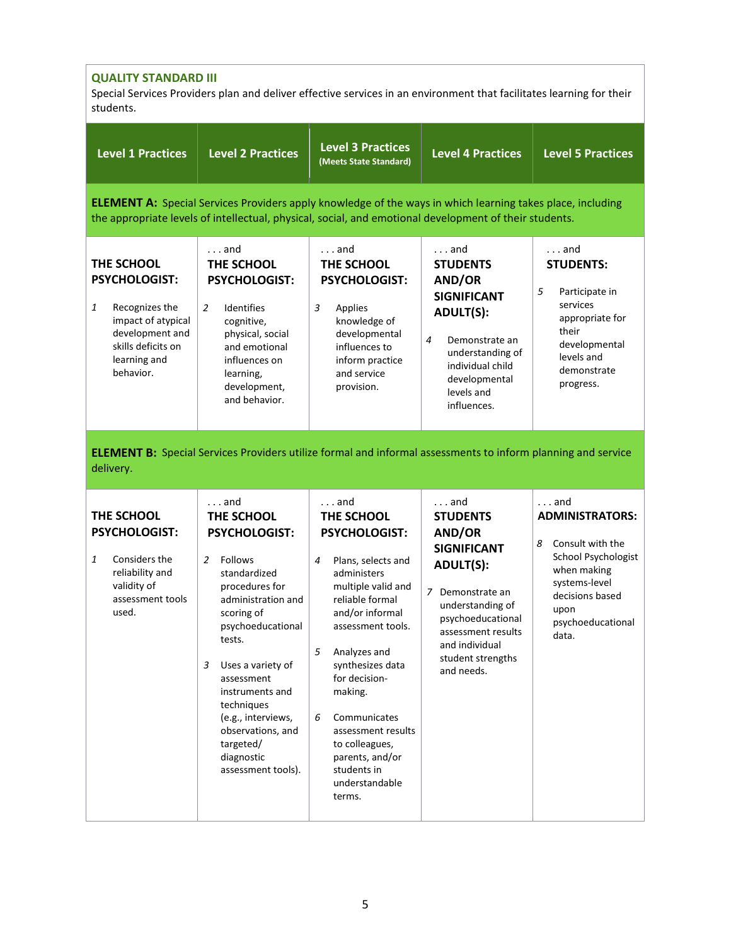| <b>QUALITY STANDARD III</b><br>Special Services Providers plan and deliver effective services in an environment that facilitates learning for their<br>students. |                                                                                                                                                                                                                                                                                                                                              |                                                                                                                                                                                                                                                                                                                                                                                   |                                                                                                                                                                                                                                |                                                                                                                                                                                 |
|------------------------------------------------------------------------------------------------------------------------------------------------------------------|----------------------------------------------------------------------------------------------------------------------------------------------------------------------------------------------------------------------------------------------------------------------------------------------------------------------------------------------|-----------------------------------------------------------------------------------------------------------------------------------------------------------------------------------------------------------------------------------------------------------------------------------------------------------------------------------------------------------------------------------|--------------------------------------------------------------------------------------------------------------------------------------------------------------------------------------------------------------------------------|---------------------------------------------------------------------------------------------------------------------------------------------------------------------------------|
| <b>Level 1 Practices</b>                                                                                                                                         | <b>Level 2 Practices</b>                                                                                                                                                                                                                                                                                                                     | <b>Level 3 Practices</b><br>(Meets State Standard)                                                                                                                                                                                                                                                                                                                                | <b>Level 4 Practices</b>                                                                                                                                                                                                       | <b>Level 5 Practices</b>                                                                                                                                                        |
|                                                                                                                                                                  |                                                                                                                                                                                                                                                                                                                                              | <b>ELEMENT A:</b> Special Services Providers apply knowledge of the ways in which learning takes place, including<br>the appropriate levels of intellectual, physical, social, and emotional development of their students.                                                                                                                                                       |                                                                                                                                                                                                                                |                                                                                                                                                                                 |
| THE SCHOOL<br><b>PSYCHOLOGIST:</b><br>1<br>Recognizes the<br>impact of atypical<br>development and<br>skills deficits on<br>learning and<br>behavior.            | $\ldots$ and<br>THE SCHOOL<br><b>PSYCHOLOGIST:</b><br>2<br>Identifies<br>cognitive,<br>physical, social<br>and emotional<br>influences on<br>learning,<br>development,<br>and behavior.                                                                                                                                                      | $\ldots$ and<br>THE SCHOOL<br><b>PSYCHOLOGIST:</b><br>3<br>Applies<br>knowledge of<br>developmental<br>influences to<br>inform practice<br>and service<br>provision.                                                                                                                                                                                                              | $\ldots$ and<br><b>STUDENTS</b><br>AND/OR<br><b>SIGNIFICANT</b><br><b>ADULT(S):</b><br>$\overline{4}$<br>Demonstrate an<br>understanding of<br>individual child<br>developmental<br>levels and<br>influences.                  | $\ldots$ and<br><b>STUDENTS:</b><br>5<br>Participate in<br>services<br>appropriate for<br>their<br>developmental<br>levels and<br>demonstrate<br>progress.                      |
| delivery.                                                                                                                                                        |                                                                                                                                                                                                                                                                                                                                              | <b>ELEMENT B:</b> Special Services Providers utilize formal and informal assessments to inform planning and service                                                                                                                                                                                                                                                               |                                                                                                                                                                                                                                |                                                                                                                                                                                 |
| THE SCHOOL<br><b>PSYCHOLOGIST:</b><br>Considers the<br>1<br>reliability and<br>validity of<br>assessment tools<br>used.                                          | $\ldots$ and<br>THE SCHOOL<br><b>PSYCHOLOGIST:</b><br>Follows<br>2<br>standardized<br>procedures for<br>administration and<br>scoring of<br>psychoeducational<br>tests.<br>Uses a variety of<br>3<br>assessment<br>instruments and<br>techniques<br>(e.g., interviews,<br>observations, and<br>targeted/<br>diagnostic<br>assessment tools). | and<br>THE SCHOOL<br><b>PSYCHOLOGIST:</b><br>$\overline{4}$<br>Plans, selects and<br>administers<br>multiple valid and<br>reliable formal<br>and/or informal<br>assessment tools.<br>5<br>Analyzes and<br>synthesizes data<br>for decision-<br>making.<br>6<br>Communicates<br>assessment results<br>to colleagues,<br>parents, and/or<br>students in<br>understandable<br>terms. | $\ldots$ and<br><b>STUDENTS</b><br>AND/OR<br><b>SIGNIFICANT</b><br><b>ADULT(S):</b><br>7<br>Demonstrate an<br>understanding of<br>psychoeducational<br>assessment results<br>and individual<br>student strengths<br>and needs. | $\ldots$ and<br><b>ADMINISTRATORS:</b><br>8<br>Consult with the<br>School Psychologist<br>when making<br>systems-level<br>decisions based<br>upon<br>psychoeducational<br>data. |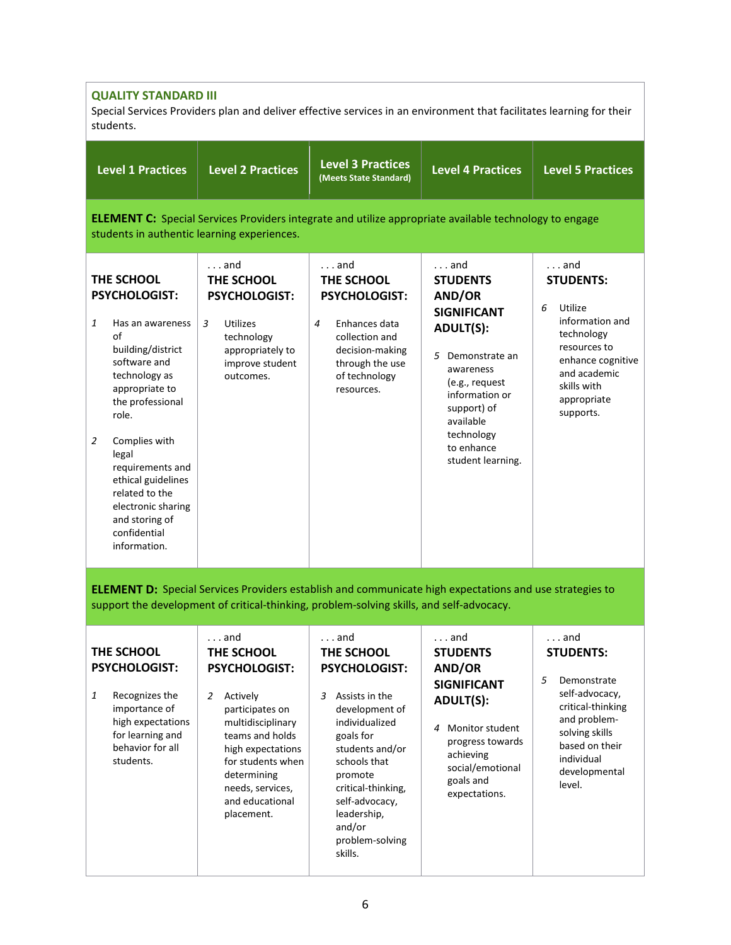## **QUALITY STANDARD III**

students.

Special Services Providers plan and deliver effective services in an environment that facilitates learning for their students.

|                     | <b>Level 1 Practices</b>                                                                                                                                                                                                                                                                                                        | <b>Level 2 Practices</b>                                                                                                                            | <b>Level 3 Practices</b><br>(Meets State Standard)                                                                                                              | <b>Level 4 Practices</b>                                                                                                                                                                                                              | <b>Level 5 Practices</b>                                                                                                                                                          |  |  |
|---------------------|---------------------------------------------------------------------------------------------------------------------------------------------------------------------------------------------------------------------------------------------------------------------------------------------------------------------------------|-----------------------------------------------------------------------------------------------------------------------------------------------------|-----------------------------------------------------------------------------------------------------------------------------------------------------------------|---------------------------------------------------------------------------------------------------------------------------------------------------------------------------------------------------------------------------------------|-----------------------------------------------------------------------------------------------------------------------------------------------------------------------------------|--|--|
|                     | <b>ELEMENT C:</b> Special Services Providers integrate and utilize appropriate available technology to engage<br>students in authentic learning experiences.                                                                                                                                                                    |                                                                                                                                                     |                                                                                                                                                                 |                                                                                                                                                                                                                                       |                                                                                                                                                                                   |  |  |
| 1<br>$\overline{2}$ | THE SCHOOL<br><b>PSYCHOLOGIST:</b><br>Has an awareness<br>of<br>building/district<br>software and<br>technology as<br>appropriate to<br>the professional<br>role.<br>Complies with<br>legal<br>requirements and<br>ethical guidelines<br>related to the<br>electronic sharing<br>and storing of<br>confidential<br>information. | $\ldots$ and<br>THE SCHOOL<br><b>PSYCHOLOGIST:</b><br>3<br><b>Utilizes</b><br>technology<br>appropriately to<br>improve student<br>outcomes.        | $\ldots$ and<br>THE SCHOOL<br><b>PSYCHOLOGIST:</b><br>4<br>Enhances data<br>collection and<br>decision-making<br>through the use<br>of technology<br>resources. | $\ldots$ and<br><b>STUDENTS</b><br>AND/OR<br><b>SIGNIFICANT</b><br><b>ADULT(S):</b><br>5 Demonstrate an<br>awareness<br>(e.g., request<br>information or<br>support) of<br>available<br>technology<br>to enhance<br>student learning. | $\ldots$ and<br><b>STUDENTS:</b><br>6<br>Utilize<br>information and<br>technology<br>resources to<br>enhance cognitive<br>and academic<br>skills with<br>appropriate<br>supports. |  |  |
|                     | <b>ELEMENT D:</b> Special Services Providers establish and communicate high expectations and use strategies to<br>support the development of critical-thinking, problem-solving skills, and self-advocacy.                                                                                                                      |                                                                                                                                                     |                                                                                                                                                                 |                                                                                                                                                                                                                                       |                                                                                                                                                                                   |  |  |
| 1                   | THE SCHOOL<br><b>PSYCHOLOGIST:</b><br>Recognizes the<br>importance of<br>high expectations<br>for learning and<br>behavior for all                                                                                                                                                                                              | $\ldots$ and<br>THE SCHOOL<br><b>PSYCHOLOGIST:</b><br>Actively<br>2<br>participates on<br>multidisciplinary<br>teams and holds<br>high expectations | $\ldots$ and<br>THE SCHOOL<br><b>PSYCHOLOGIST:</b><br>$\overline{3}$<br>Assists in the<br>development of<br>individualized<br>goals for<br>students and/or      | $\ldots$ and<br><b>STUDENTS</b><br>AND/OR<br><b>SIGNIFICANT</b><br><b>ADULT(S):</b><br>4 Monitor student<br>progress towards                                                                                                          | $\ldots$ and<br><b>STUDENTS:</b><br>5<br>Demonstrate<br>self-advocacy,<br>critical-thinking<br>and problem-<br>solving skills<br>based on their                                   |  |  |

problem-solving

skills.

schools that promote critical-thinking, self-advocacy, leadership, and/or

achieving social/emotional goals and expectations.

individual developmental

level.

for students when determining needs, services, and educational placement.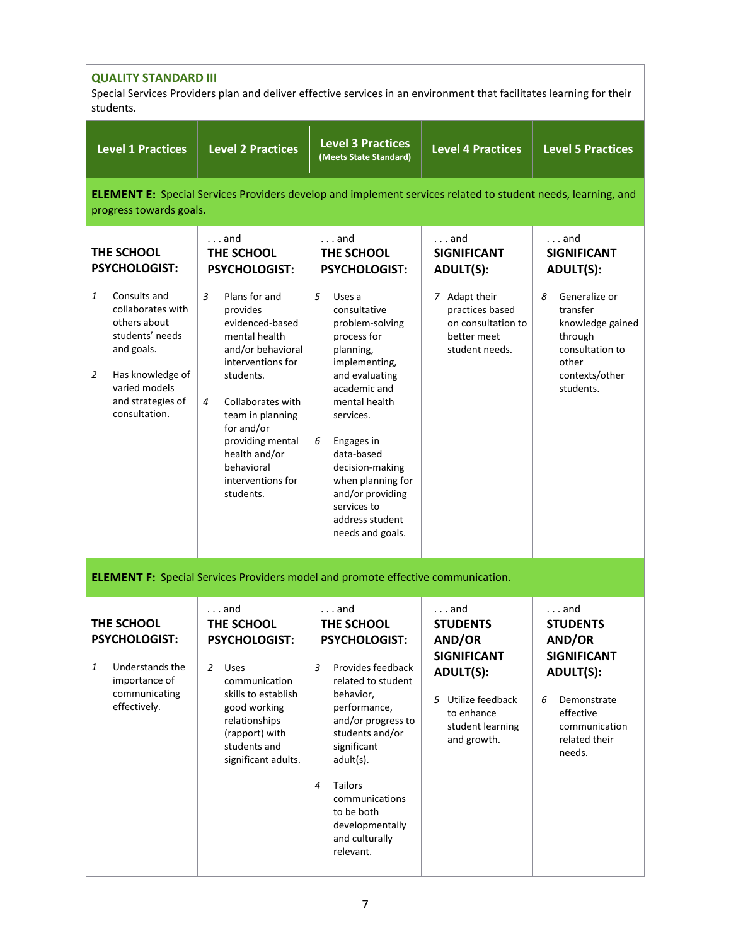| <b>QUALITY STANDARD III</b><br>Special Services Providers plan and deliver effective services in an environment that facilitates learning for their<br>students.        |                                                                                                                                                                                                                                                                            |                                                                                                                                                                                                                                                                                                                |                                                                                                                                                            |                                                                                                                                                                  |
|-------------------------------------------------------------------------------------------------------------------------------------------------------------------------|----------------------------------------------------------------------------------------------------------------------------------------------------------------------------------------------------------------------------------------------------------------------------|----------------------------------------------------------------------------------------------------------------------------------------------------------------------------------------------------------------------------------------------------------------------------------------------------------------|------------------------------------------------------------------------------------------------------------------------------------------------------------|------------------------------------------------------------------------------------------------------------------------------------------------------------------|
| <b>Level 1 Practices</b>                                                                                                                                                | <b>Level 2 Practices</b>                                                                                                                                                                                                                                                   | <b>Level 3 Practices</b><br>(Meets State Standard)                                                                                                                                                                                                                                                             | <b>Level 4 Practices</b>                                                                                                                                   | <b>Level 5 Practices</b>                                                                                                                                         |
| progress towards goals.                                                                                                                                                 |                                                                                                                                                                                                                                                                            | <b>ELEMENT E:</b> Special Services Providers develop and implement services related to student needs, learning, and                                                                                                                                                                                            |                                                                                                                                                            |                                                                                                                                                                  |
| THE SCHOOL<br><b>PSYCHOLOGIST:</b>                                                                                                                                      | $\ldots$ and<br>THE SCHOOL<br><b>PSYCHOLOGIST:</b>                                                                                                                                                                                                                         | $\ldots$ and<br>THE SCHOOL<br>PSYCHOLOGIST:                                                                                                                                                                                                                                                                    | $\ldots$ and<br><b>SIGNIFICANT</b><br>ADULT(S):                                                                                                            | $\ldots$ and<br><b>SIGNIFICANT</b><br>ADULT(S):                                                                                                                  |
| Consults and<br>1<br>collaborates with<br>others about<br>students' needs<br>and goals.<br>Has knowledge of<br>2<br>varied models<br>and strategies of<br>consultation. | 3<br>Plans for and<br>provides<br>evidenced-based<br>mental health<br>and/or behavioral<br>interventions for<br>students.<br>Collaborates with<br>4<br>team in planning<br>for and/or<br>providing mental<br>health and/or<br>behavioral<br>interventions for<br>students. | 5<br>Uses a<br>consultative<br>problem-solving<br>process for<br>planning,<br>implementing,<br>and evaluating<br>academic and<br>mental health<br>services.<br>6<br>Engages in<br>data-based<br>decision-making<br>when planning for<br>and/or providing<br>services to<br>address student<br>needs and goals. | 7 Adapt their<br>practices based<br>on consultation to<br>better meet<br>student needs.                                                                    | Generalize or<br>8<br>transfer<br>knowledge gained<br>through<br>consultation to<br>other<br>contexts/other<br>students.                                         |
|                                                                                                                                                                         |                                                                                                                                                                                                                                                                            | <b>ELEMENT F:</b> Special Services Providers model and promote effective communication.                                                                                                                                                                                                                        |                                                                                                                                                            |                                                                                                                                                                  |
| THE SCHOOL<br>PSYCHOLOGIST:<br>1<br>Understands the<br>importance of<br>communicating<br>effectively.                                                                   | $\ldots$ and<br>THE SCHOOL<br><b>PSYCHOLOGIST:</b><br>2<br><b>Uses</b><br>communication<br>skills to establish<br>good working<br>relationships<br>(rapport) with<br>students and<br>significant adults.                                                                   | $\ldots$ and<br>THE SCHOOL<br><b>PSYCHOLOGIST:</b><br>3<br>Provides feedback<br>related to student<br>behavior,<br>performance,<br>and/or progress to<br>students and/or<br>significant<br>adult(s).<br>Tailors<br>4<br>communications<br>to be both<br>developmentally<br>and culturally<br>relevant.         | $\ldots$ and<br><b>STUDENTS</b><br>AND/OR<br><b>SIGNIFICANT</b><br><b>ADULT(S):</b><br>5 Utilize feedback<br>to enhance<br>student learning<br>and growth. | $\ldots$ and<br><b>STUDENTS</b><br>AND/OR<br><b>SIGNIFICANT</b><br><b>ADULT(S):</b><br>Demonstrate<br>6<br>effective<br>communication<br>related their<br>needs. |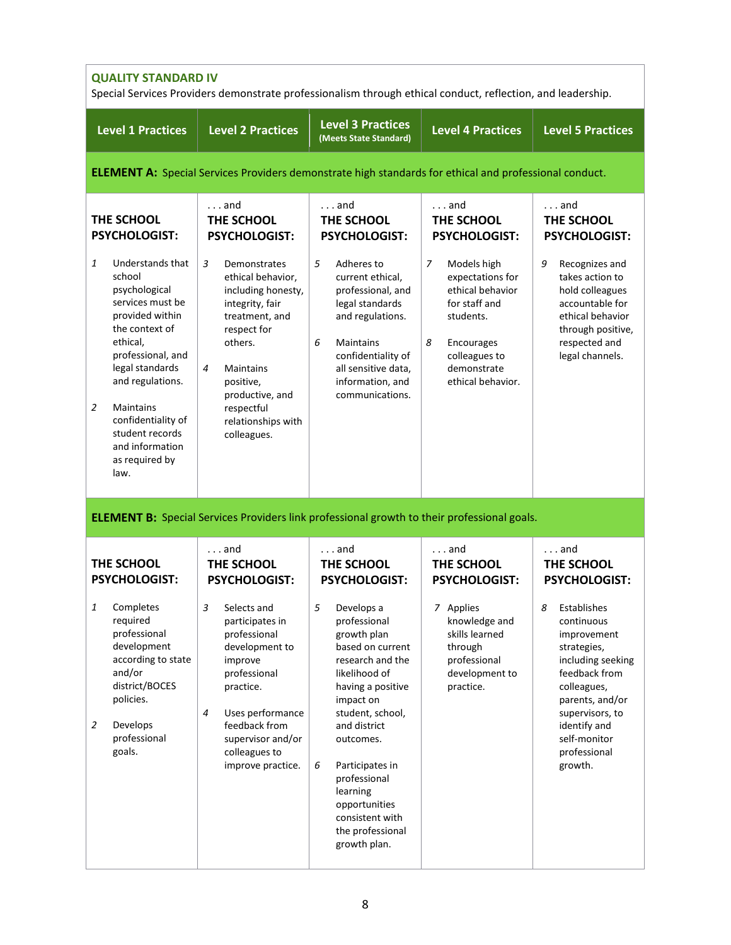| <b>QUALITY STANDARD IV</b><br>Special Services Providers demonstrate professionalism through ethical conduct, reflection, and leadership.                                                                                                                                                        |                                                                                                                                                                                                                                            |                                                                                                                                                                                                                                                                                                                                                |                                                                                                                                                                |                                                                                                                                                                                                                                            |  |  |
|--------------------------------------------------------------------------------------------------------------------------------------------------------------------------------------------------------------------------------------------------------------------------------------------------|--------------------------------------------------------------------------------------------------------------------------------------------------------------------------------------------------------------------------------------------|------------------------------------------------------------------------------------------------------------------------------------------------------------------------------------------------------------------------------------------------------------------------------------------------------------------------------------------------|----------------------------------------------------------------------------------------------------------------------------------------------------------------|--------------------------------------------------------------------------------------------------------------------------------------------------------------------------------------------------------------------------------------------|--|--|
| <b>Level 1 Practices</b>                                                                                                                                                                                                                                                                         | <b>Level 2 Practices</b>                                                                                                                                                                                                                   | <b>Level 3 Practices</b><br>(Meets State Standard)                                                                                                                                                                                                                                                                                             | <b>Level 4 Practices</b>                                                                                                                                       | <b>Level 5 Practices</b>                                                                                                                                                                                                                   |  |  |
|                                                                                                                                                                                                                                                                                                  | <b>ELEMENT A:</b> Special Services Providers demonstrate high standards for ethical and professional conduct.                                                                                                                              |                                                                                                                                                                                                                                                                                                                                                |                                                                                                                                                                |                                                                                                                                                                                                                                            |  |  |
| THE SCHOOL<br><b>PSYCHOLOGIST:</b>                                                                                                                                                                                                                                                               | $\ldots$ and<br>THE SCHOOL<br><b>PSYCHOLOGIST:</b>                                                                                                                                                                                         | $\ldots$ and<br>THE SCHOOL<br><b>PSYCHOLOGIST:</b>                                                                                                                                                                                                                                                                                             | $\ldots$ and<br>THE SCHOOL<br><b>PSYCHOLOGIST:</b>                                                                                                             | and<br>THE SCHOOL<br><b>PSYCHOLOGIST:</b>                                                                                                                                                                                                  |  |  |
| 1<br>Understands that<br>school<br>psychological<br>services must be<br>provided within<br>the context of<br>ethical,<br>professional, and<br>legal standards<br>and regulations.<br>2<br><b>Maintains</b><br>confidentiality of<br>student records<br>and information<br>as required by<br>law. | 3<br>Demonstrates<br>ethical behavior,<br>including honesty,<br>integrity, fair<br>treatment, and<br>respect for<br>others.<br>4<br>Maintains<br>positive,<br>productive, and<br>respectful<br>relationships with<br>colleagues.           | 5<br>Adheres to<br>current ethical,<br>professional, and<br>legal standards<br>and regulations.<br>6<br><b>Maintains</b><br>confidentiality of<br>all sensitive data,<br>information, and<br>communications.                                                                                                                                   | 7<br>Models high<br>expectations for<br>ethical behavior<br>for staff and<br>students.<br>8<br>Encourages<br>colleagues to<br>demonstrate<br>ethical behavior. | 9<br>Recognizes and<br>takes action to<br>hold colleagues<br>accountable for<br>ethical behavior<br>through positive,<br>respected and<br>legal channels.                                                                                  |  |  |
| THE SCHOOL                                                                                                                                                                                                                                                                                       | <b>ELEMENT B:</b> Special Services Providers link professional growth to their professional goals.<br>$\ldots$ and<br>THE SCHOOL                                                                                                           | $\ldots$ and<br>THE SCHOOL                                                                                                                                                                                                                                                                                                                     | $\ldots$ and<br>THE SCHOOL                                                                                                                                     | and<br>THE SCHOOL                                                                                                                                                                                                                          |  |  |
| <b>PSYCHOLOGIST:</b><br>Completes<br>1<br>required<br>professional<br>development<br>according to state<br>and/or<br>district/BOCES<br>policies.<br>2<br>Develops<br>professional<br>goals.                                                                                                      | <b>PSYCHOLOGIST:</b><br>3<br>Selects and<br>participates in<br>professional<br>development to<br>improve<br>professional<br>practice.<br>Uses performance<br>4<br>feedback from<br>supervisor and/or<br>colleagues to<br>improve practice. | <b>PSYCHOLOGIST:</b><br>5<br>Develops a<br>professional<br>growth plan<br>based on current<br>research and the<br>likelihood of<br>having a positive<br>impact on<br>student, school,<br>and district<br>outcomes.<br>6<br>Participates in<br>professional<br>learning<br>opportunities<br>consistent with<br>the professional<br>growth plan. | <b>PSYCHOLOGIST:</b><br>7 Applies<br>knowledge and<br>skills learned<br>through<br>professional<br>development to<br>practice.                                 | <b>PSYCHOLOGIST:</b><br>8<br>Establishes<br>continuous<br>improvement<br>strategies,<br>including seeking<br>feedback from<br>colleagues,<br>parents, and/or<br>supervisors, to<br>identify and<br>self-monitor<br>professional<br>growth. |  |  |